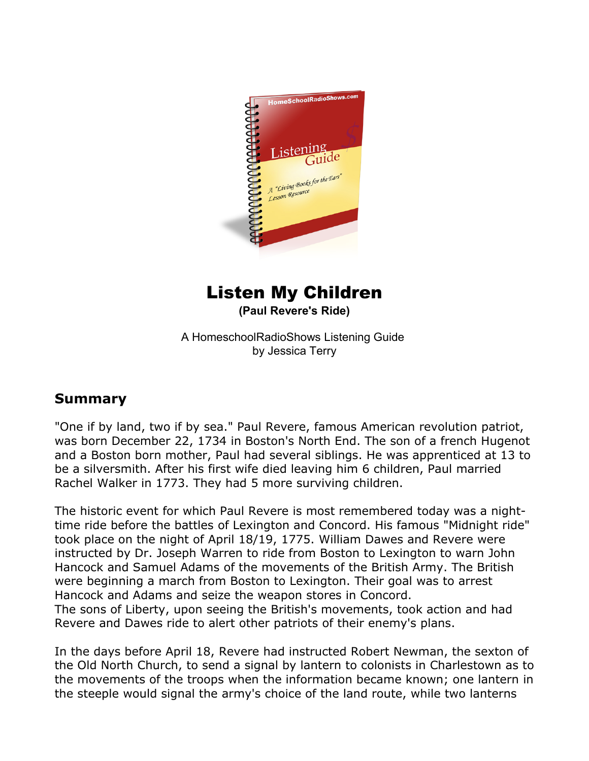

## Listen My Children

**(Paul Revere's Ride)**

A HomeschoolRadioShows Listening Guide by Jessica Terry

## **Summary**

"One if by land, two if by sea." Paul Revere, famous American revolution patriot, was born December 22, 1734 in Boston's North End. The son of a french Hugenot and a Boston born mother, Paul had several siblings. He was apprenticed at 13 to be a silversmith. After his first wife died leaving him 6 children, Paul married Rachel Walker in 1773. They had 5 more surviving children.

The historic event for which Paul Revere is most remembered today was a nighttime ride before the battles of Lexington and Concord. His famous "Midnight ride" took place on the night of April 18/19, 1775. William Dawes and Revere were instructed by Dr. Joseph Warren to ride from Boston to Lexington to warn John Hancock and Samuel Adams of the movements of the British Army. The British were beginning a march from Boston to Lexington. Their goal was to arrest Hancock and Adams and seize the weapon stores in Concord. The sons of Liberty, upon seeing the British's movements, took action and had Revere and Dawes ride to alert other patriots of their enemy's plans.

In the days before April 18, Revere had instructed Robert Newman, the sexton of the Old North Church, to send a signal by lantern to colonists in Charlestown as to the movements of the troops when the information became known; one lantern in the steeple would signal the army's choice of the land route, while two lanterns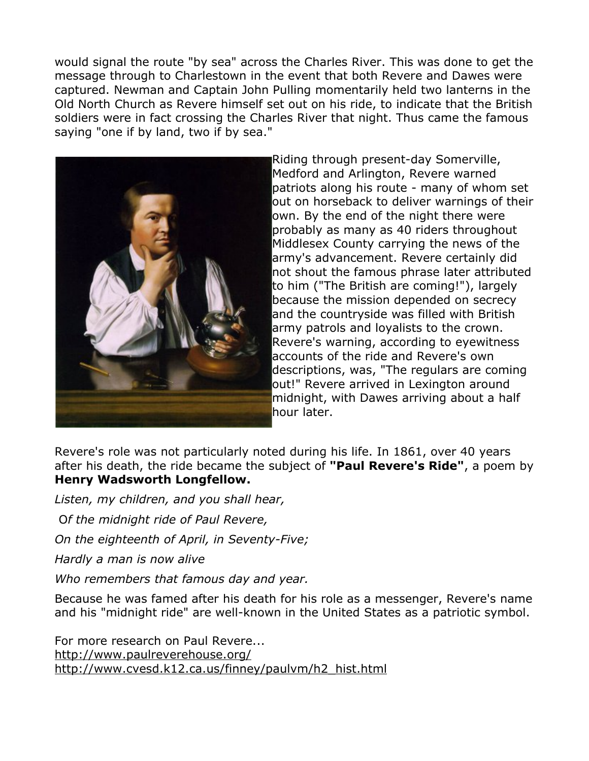would signal the route "by sea" across the Charles River. This was done to get the message through to Charlestown in the event that both Revere and Dawes were captured. Newman and Captain John Pulling momentarily held two lanterns in the Old North Church as Revere himself set out on his ride, to indicate that the British soldiers were in fact crossing the Charles River that night. Thus came the famous saying "one if by land, two if by sea."



Riding through present-day Somerville, Medford and Arlington, Revere warned patriots along his route - many of whom set out on horseback to deliver warnings of their own. By the end of the night there were probably as many as 40 riders throughout Middlesex County carrying the news of the army's advancement. Revere certainly did not shout the famous phrase later attributed to him ("The British are coming!"), largely because the mission depended on secrecy and the countryside was filled with British army patrols and loyalists to the crown. Revere's warning, according to eyewitness accounts of the ride and Revere's own descriptions, was, "The regulars are coming out!" Revere arrived in Lexington around midnight, with Dawes arriving about a half hour later.

Revere's role was not particularly noted during his life. In 1861, over 40 years after his death, the ride became the subject of **"Paul Revere's Ride"**, a poem by **Henry Wadsworth Longfellow.**

*Listen, my children, and you shall hear,*

O*f the midnight ride of Paul Revere,*

*On the eighteenth of April, in Seventy-Five;*

*Hardly a man is now alive*

*Who remembers that famous day and year.*

Because he was famed after his death for his role as a messenger, Revere's name and his "midnight ride" are well-known in the United States as a patriotic symbol.

For more research on Paul Revere... <http://www.paulreverehouse.org/> [http://www.cvesd.k12.ca.us/finney/paulvm/h2\\_hist.html](http://www.cvesd.k12.ca.us/finney/paulvm/h2_hist.html)